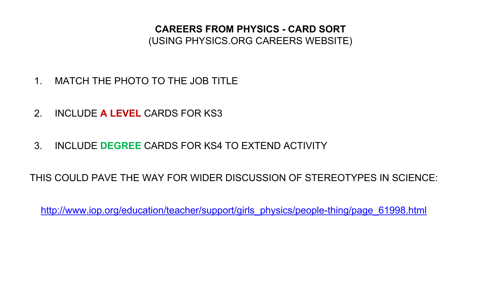## **CAREERS FROM PHYSICS - CARD SORT** (USING PHYSICS.ORG CAREERS WEBSITE)

- 1. MATCH THE PHOTO TO THE JOB TITLE
- 2. INCLUDE **A LEVEL** CARDS FOR KS3
- 3. INCLUDE **DEGREE** CARDS FOR KS4 TO EXTEND ACTIVITY

THIS COULD PAVE THE WAY FOR WIDER DISCUSSION OF STEREOTYPES IN SCIENCE:

[http://www.iop.org/education/teacher/support/girls\\_physics/people-thing/page\\_61998.html](http://www.iop.org/education/teacher/support/girls_physics/people-thing/page_61998.html)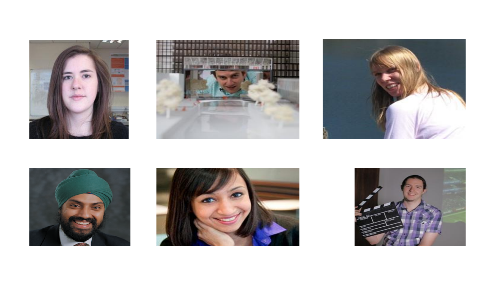









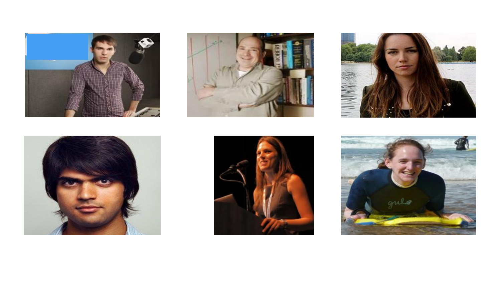









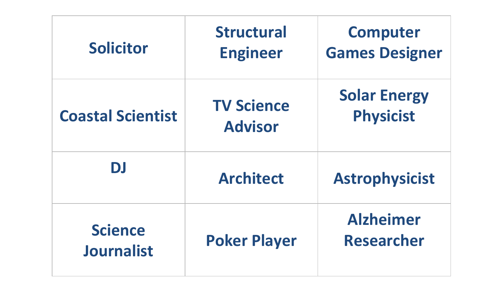| <b>Solicitor</b>                    | <b>Structural</b><br><b>Engineer</b> | <b>Computer</b><br><b>Games Designer</b> |
|-------------------------------------|--------------------------------------|------------------------------------------|
| <b>Coastal Scientist</b>            | <b>TV Science</b><br><b>Advisor</b>  | <b>Solar Energy</b><br><b>Physicist</b>  |
| <b>DJ</b>                           | <b>Architect</b>                     | <b>Astrophysicist</b>                    |
| <b>Science</b><br><b>Journalist</b> | <b>Poker Player</b>                  | <b>Alzheimer</b><br><b>Researcher</b>    |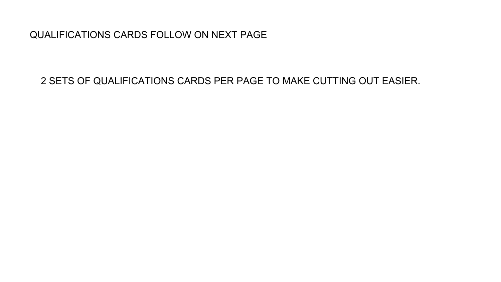## QUALIFICATIONS CARDS FOLLOW ON NEXT PAGE

2 SETS OF QUALIFICATIONS CARDS PER PAGE TO MAKE CUTTING OUT EASIER.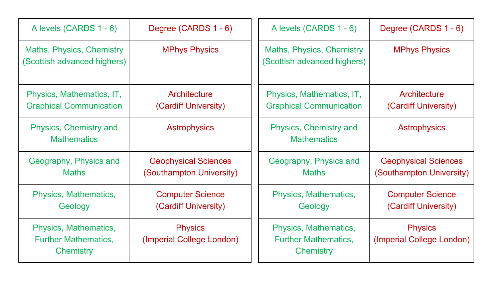| A levels (CARDS 1 - 6)                                            | Degree (CARDS 1 - 6)                                    | A levels (CARDS 1 - 6)                                            | Degree (CARDS 1 - 6)                                    |
|-------------------------------------------------------------------|---------------------------------------------------------|-------------------------------------------------------------------|---------------------------------------------------------|
| Maths, Physics, Chemistry<br>(Scottish advanced highers)          | <b>MPhys Physics</b>                                    | Maths, Physics, Chemistry<br>(Scottish advanced highers)          | <b>MPhys Physics</b>                                    |
| Physics, Mathematics, IT,<br><b>Graphical Communication</b>       | Architecture<br>(Cardiff University)                    | Physics, Mathematics, IT,<br><b>Graphical Communication</b>       | Architecture<br>(Cardiff University)                    |
| Physics, Chemistry and<br><b>Mathematics</b>                      | <b>Astrophysics</b>                                     | Physics, Chemistry and<br><b>Mathematics</b>                      | <b>Astrophysics</b>                                     |
| Geography, Physics and<br><b>Maths</b>                            | <b>Geophysical Sciences</b><br>(Southampton University) | Geography, Physics and<br><b>Maths</b>                            | <b>Geophysical Sciences</b><br>(Southampton University) |
| Physics, Mathematics,<br>Geology                                  | <b>Computer Science</b><br>(Cardiff University)         | Physics, Mathematics,<br>Geology                                  | <b>Computer Science</b><br>(Cardiff University)         |
| Physics, Mathematics,<br><b>Further Mathematics,</b><br>Chemistry | <b>Physics</b><br>(Imperial College London)             | Physics, Mathematics,<br><b>Further Mathematics,</b><br>Chemistry | <b>Physics</b><br>(Imperial College London)             |